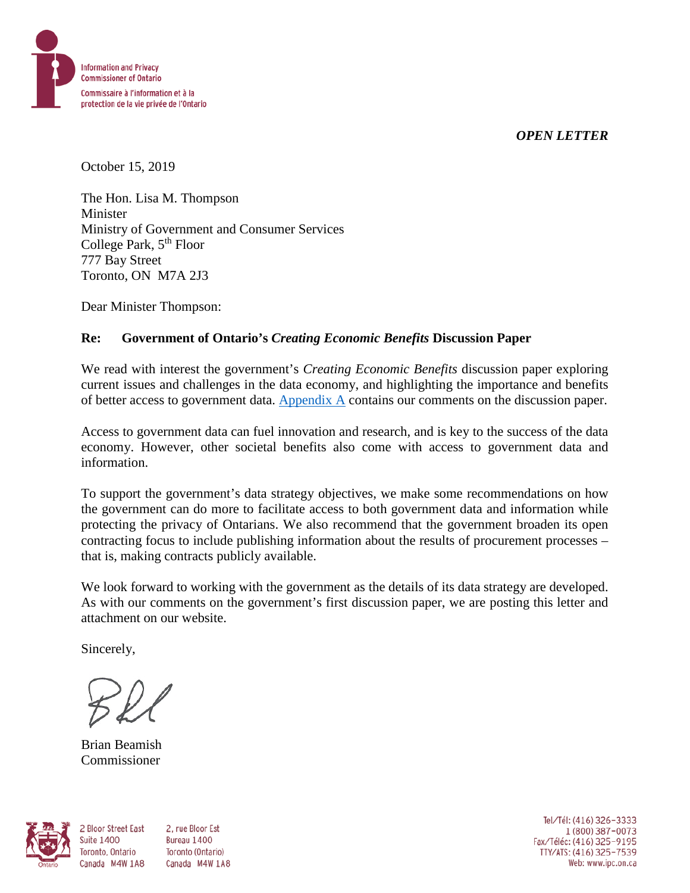*OPEN LETTER*



October 15, 2019

The Hon. Lisa M. Thompson Minister Ministry of Government and Consumer Services College Park, 5<sup>th</sup> Floor 777 Bay Street Toronto, ON M7A 2J3

Dear Minister Thompson:

### **Re: Government of Ontario's** *Creating Economic Benefits* **Discussion Paper**

We read with interest the government's *Creating Economic Benefits* discussion paper exploring current issues and challenges in the data economy, and highlighting the importance and benefits of better access to government data. [Appendix A](#page-2-0) contains our comments on the discussion paper.

Access to government data can fuel innovation and research, and is key to the success of the data economy. However, other societal benefits also come with access to government data and information.

To support the government's data strategy objectives, we make some recommendations on how the government can do more to facilitate access to both government data and information while protecting the privacy of Ontarians. We also recommend that the government broaden its open contracting focus to include publishing information about the results of procurement processes – that is, making contracts publicly available.

We look forward to working with the government as the details of its data strategy are developed. As with our comments on the government's first discussion paper, we are posting this letter and attachment on our website.

Sincerely,

Brian Beamish Commissioner

**Suite 1400** 

Toronto, Ontario



2 Bloor Street East 2. rue Bloor Est Bureau 1400 Toronto (Ontario) Canada M4W 1A8 Canada M4W 1A8

Tel/Tél: (416) 326-3333 1 (800) 387-0073 Fax/Téléc: (416) 325-9195 TTY/ATS: (416) 325-7539<br>Web: www.ipc.on.ca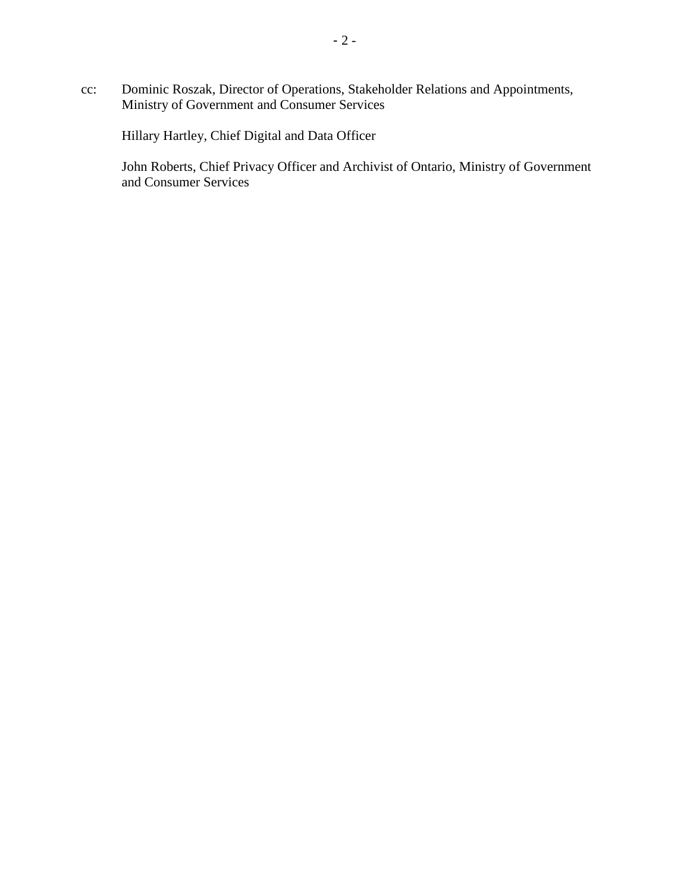cc: Dominic Roszak, Director of Operations, Stakeholder Relations and Appointments, Ministry of Government and Consumer Services

Hillary Hartley, Chief Digital and Data Officer

John Roberts, Chief Privacy Officer and Archivist of Ontario, Ministry of Government and Consumer Services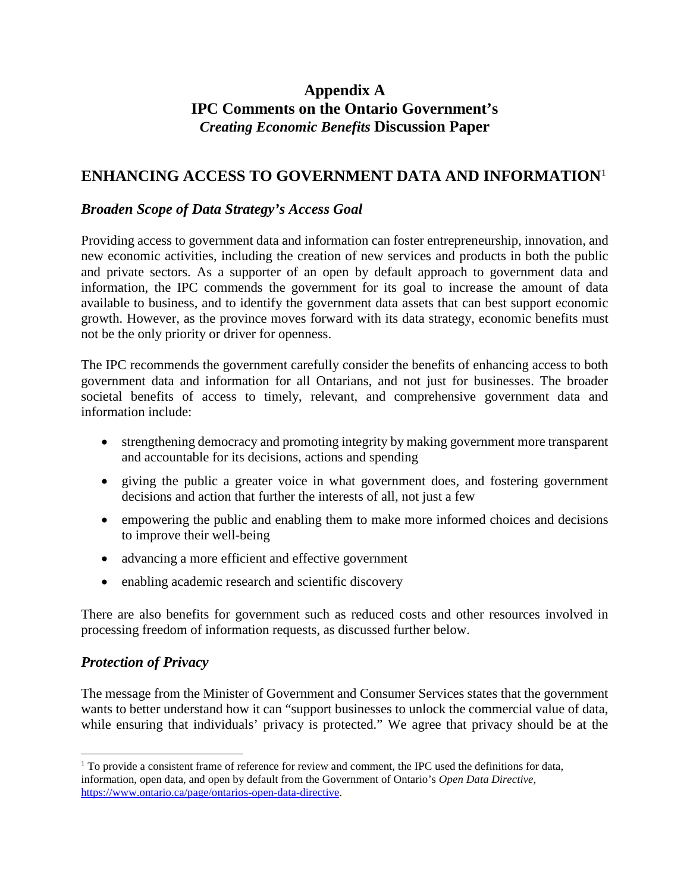## **Appendix A IPC Comments on the Ontario Government's** *Creating Economic Benefits* **Discussion Paper**

## <span id="page-2-0"></span>**ENHANCING ACCESS TO GOVERNMENT DATA AND INFORMATION**[1](#page-2-1)

### *Broaden Scope of Data Strategy's Access Goal*

Providing access to government data and information can foster entrepreneurship, innovation, and new economic activities, including the creation of new services and products in both the public and private sectors. As a supporter of an open by default approach to government data and information, the IPC commends the government for its goal to increase the amount of data available to business, and to identify the government data assets that can best support economic growth. However, as the province moves forward with its data strategy, economic benefits must not be the only priority or driver for openness.

The IPC recommends the government carefully consider the benefits of enhancing access to both government data and information for all Ontarians, and not just for businesses. The broader societal benefits of access to timely, relevant, and comprehensive government data and information include:

- strengthening democracy and promoting integrity by making government more transparent and accountable for its decisions, actions and spending
- giving the public a greater voice in what government does, and fostering government decisions and action that further the interests of all, not just a few
- empowering the public and enabling them to make more informed choices and decisions to improve their well-being
- advancing a more efficient and effective government
- enabling academic research and scientific discovery

There are also benefits for government such as reduced costs and other resources involved in processing freedom of information requests, as discussed further below.

#### *Protection of Privacy*

The message from the Minister of Government and Consumer Services states that the government wants to better understand how it can "support businesses to unlock the commercial value of data, while ensuring that individuals' privacy is protected." We agree that privacy should be at the

<span id="page-2-1"></span> $\overline{a}$  $1$  To provide a consistent frame of reference for review and comment, the IPC used the definitions for data, information, open data, and open by default from the Government of Ontario's *Open Data Directive*, [https://www.ontario.ca/page/ontarios-open-data-directive.](https://www.ontario.ca/page/ontarios-open-data-directive)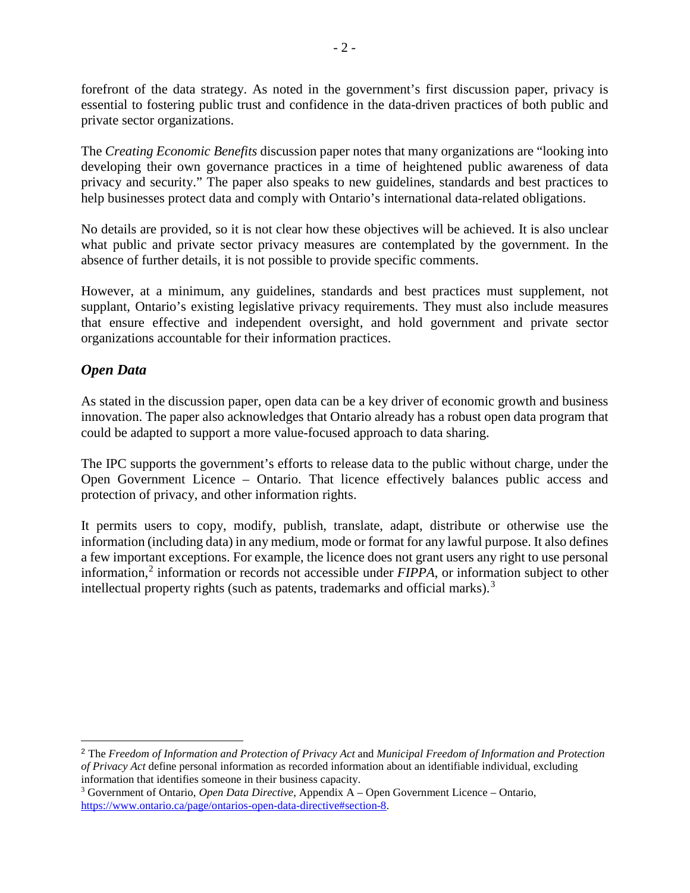forefront of the data strategy. As noted in the government's first discussion paper, privacy is essential to fostering public trust and confidence in the data-driven practices of both public and private sector organizations.

The *Creating Economic Benefits* discussion paper notes that many organizations are "looking into developing their own governance practices in a time of heightened public awareness of data privacy and security." The paper also speaks to new guidelines, standards and best practices to help businesses protect data and comply with Ontario's international data-related obligations.

No details are provided, so it is not clear how these objectives will be achieved. It is also unclear what public and private sector privacy measures are contemplated by the government. In the absence of further details, it is not possible to provide specific comments.

However, at a minimum, any guidelines, standards and best practices must supplement, not supplant, Ontario's existing legislative privacy requirements. They must also include measures that ensure effective and independent oversight, and hold government and private sector organizations accountable for their information practices.

### *Open Data*

As stated in the discussion paper, open data can be a key driver of economic growth and business innovation. The paper also acknowledges that Ontario already has a robust open data program that could be adapted to support a more value-focused approach to data sharing.

The IPC supports the government's efforts to release data to the public without charge, under the Open Government Licence – Ontario. That licence effectively balances public access and protection of privacy, and other information rights.

It permits users to copy, modify, publish, translate, adapt, distribute or otherwise use the information (including data) in any medium, mode or format for any lawful purpose. It also defines a few important exceptions. For example, the licence does not grant users any right to use personal information,[2](#page-3-0) information or records not accessible under *FIPPA*, or information subject to other intellectual property rights (such as patents, trademarks and official marks).<sup>[3](#page-3-1)</sup>

<span id="page-3-0"></span> <sup>2</sup> The *Freedom of Information and Protection of Privacy Act* and *Municipal Freedom of Information and Protection of Privacy Act* define personal information as recorded information about an identifiable individual, excluding information that identifies someone in their business capacity.

<span id="page-3-1"></span><sup>3</sup> Government of Ontario, *Open Data Directive*, Appendix A – Open Government Licence – Ontario, [https://www.ontario.ca/page/ontarios-open-data-directive#section-8.](https://www.ontario.ca/page/ontarios-open-data-directive#section-8)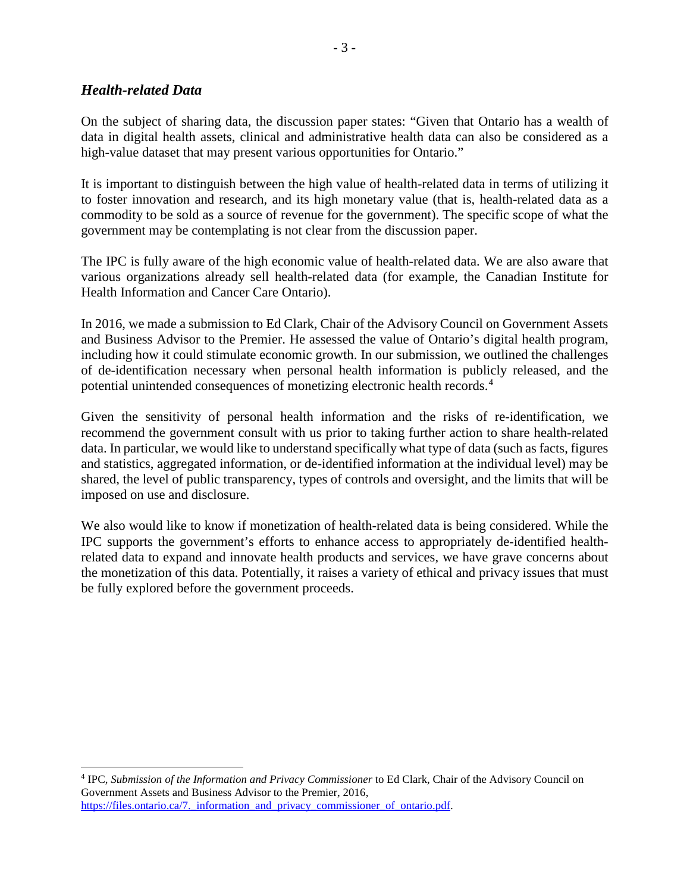#### *Health-related Data*

On the subject of sharing data, the discussion paper states: "Given that Ontario has a wealth of data in digital health assets, clinical and administrative health data can also be considered as a high-value dataset that may present various opportunities for Ontario."

It is important to distinguish between the high value of health-related data in terms of utilizing it to foster innovation and research, and its high monetary value (that is, health-related data as a commodity to be sold as a source of revenue for the government). The specific scope of what the government may be contemplating is not clear from the discussion paper.

The IPC is fully aware of the high economic value of health-related data. We are also aware that various organizations already sell health-related data (for example, the Canadian Institute for Health Information and Cancer Care Ontario).

In 2016, we made a submission to Ed Clark, Chair of the Advisory Council on Government Assets and Business Advisor to the Premier. He assessed the value of Ontario's digital health program, including how it could stimulate economic growth. In our submission, we outlined the challenges of de-identification necessary when personal health information is publicly released, and the potential unintended consequences of monetizing electronic health records.[4](#page-4-0)

Given the sensitivity of personal health information and the risks of re-identification, we recommend the government consult with us prior to taking further action to share health-related data. In particular, we would like to understand specifically what type of data (such as facts, figures and statistics, aggregated information, or de-identified information at the individual level) may be shared, the level of public transparency, types of controls and oversight, and the limits that will be imposed on use and disclosure.

We also would like to know if monetization of health-related data is being considered. While the IPC supports the government's efforts to enhance access to appropriately de-identified healthrelated data to expand and innovate health products and services, we have grave concerns about the monetization of this data. Potentially, it raises a variety of ethical and privacy issues that must be fully explored before the government proceeds.

<span id="page-4-0"></span> $\overline{a}$ <sup>4</sup> IPC, *Submission of the Information and Privacy Commissioner* to Ed Clark, Chair of the Advisory Council on Government Assets and Business Advisor to the Premier, 2016, https://files.ontario.ca/7. information and privacy commissioner of ontario.pdf.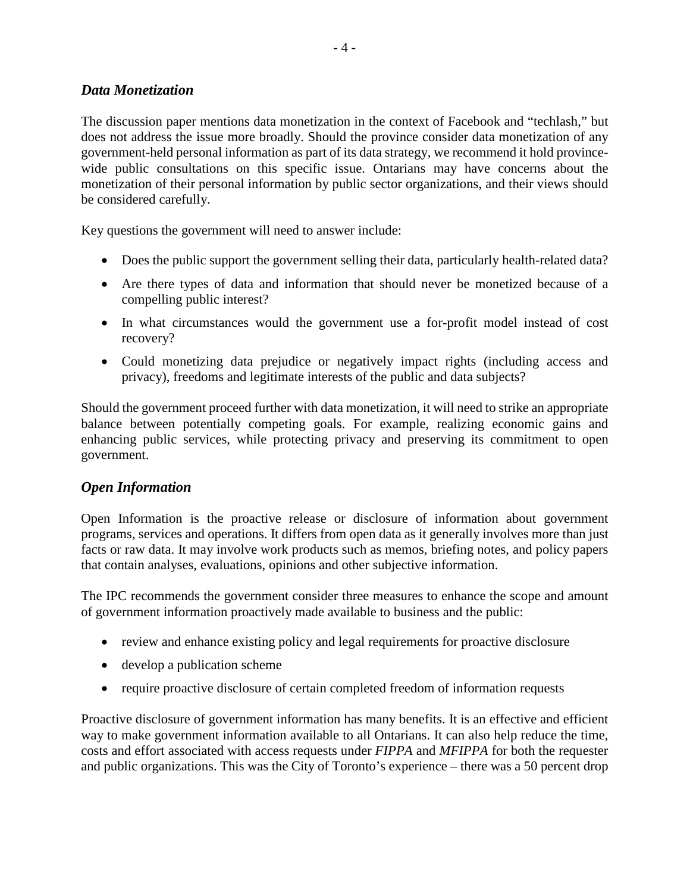#### *Data Monetization*

The discussion paper mentions data monetization in the context of Facebook and "techlash," but does not address the issue more broadly. Should the province consider data monetization of any government-held personal information as part of its data strategy, we recommend it hold provincewide public consultations on this specific issue. Ontarians may have concerns about the monetization of their personal information by public sector organizations, and their views should be considered carefully.

Key questions the government will need to answer include:

- Does the public support the government selling their data, particularly health-related data?
- Are there types of data and information that should never be monetized because of a compelling public interest?
- In what circumstances would the government use a for-profit model instead of cost recovery?
- Could monetizing data prejudice or negatively impact rights (including access and privacy), freedoms and legitimate interests of the public and data subjects?

Should the government proceed further with data monetization, it will need to strike an appropriate balance between potentially competing goals. For example, realizing economic gains and enhancing public services, while protecting privacy and preserving its commitment to open government.

#### *Open Information*

Open Information is the proactive release or disclosure of information about government programs, services and operations. It differs from open data as it generally involves more than just facts or raw data. It may involve work products such as memos, briefing notes, and policy papers that contain analyses, evaluations, opinions and other subjective information.

The IPC recommends the government consider three measures to enhance the scope and amount of government information proactively made available to business and the public:

- review and enhance existing policy and legal requirements for proactive disclosure
- develop a publication scheme
- require proactive disclosure of certain completed freedom of information requests

Proactive disclosure of government information has many benefits. It is an effective and efficient way to make government information available to all Ontarians. It can also help reduce the time, costs and effort associated with access requests under *FIPPA* and *MFIPPA* for both the requester and public organizations. This was the City of Toronto's experience – there was a 50 percent drop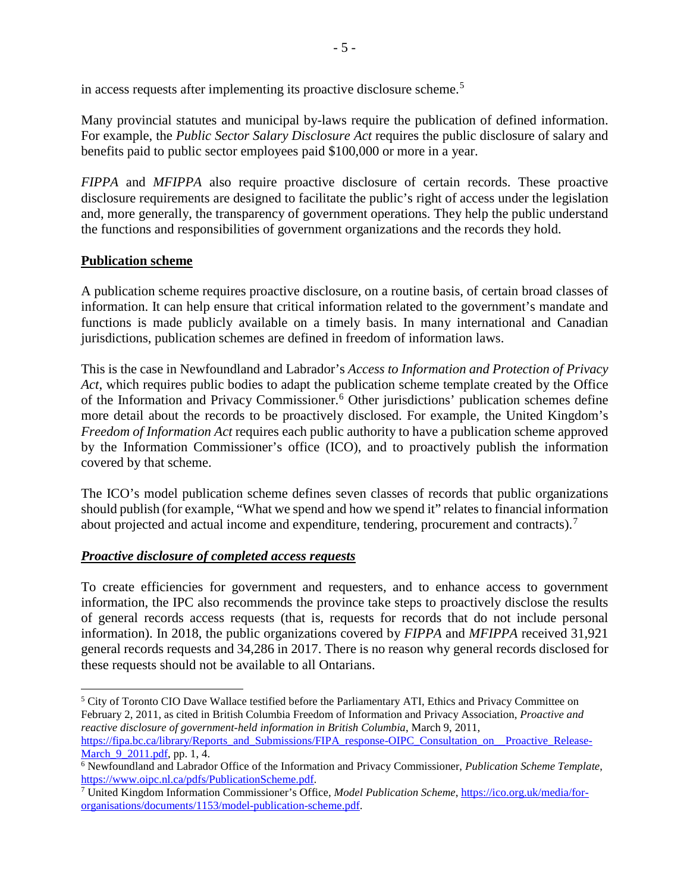in access requests after implementing its proactive disclosure scheme.<sup>[5](#page-6-0)</sup>

Many provincial statutes and municipal by-laws require the publication of defined information. For example, the *Public Sector Salary Disclosure Act* requires the public disclosure of salary and benefits paid to public sector employees paid \$100,000 or more in a year.

*FIPPA* and *MFIPPA* also require proactive disclosure of certain records. These proactive disclosure requirements are designed to facilitate the public's right of access under the legislation and, more generally, the transparency of government operations. They help the public understand the functions and responsibilities of government organizations and the records they hold.

#### **Publication scheme**

A publication scheme requires proactive disclosure, on a routine basis, of certain broad classes of information. It can help ensure that critical information related to the government's mandate and functions is made publicly available on a timely basis. In many international and Canadian jurisdictions, publication schemes are defined in freedom of information laws.

This is the case in Newfoundland and Labrador's *Access to Information and Protection of Privacy Act*, which requires public bodies to adapt the publication scheme template created by the Office of the Information and Privacy Commissioner.<sup>[6](#page-6-1)</sup> Other jurisdictions' publication schemes define more detail about the records to be proactively disclosed. For example, the United Kingdom's *Freedom of Information Act* requires each public authority to have a publication scheme approved by the Information Commissioner's office (ICO), and to proactively publish the information covered by that scheme.

The ICO's model publication scheme defines seven classes of records that public organizations should publish (for example, "What we spend and how we spend it" relates to financial information about projected and actual income and expenditure, tendering, procurement and contracts).<sup>[7](#page-6-2)</sup>

#### *Proactive disclosure of completed access requests*

To create efficiencies for government and requesters, and to enhance access to government information, the IPC also recommends the province take steps to proactively disclose the results of general records access requests (that is, requests for records that do not include personal information). In 2018, the public organizations covered by *FIPPA* and *MFIPPA* received 31,921 general records requests and 34,286 in 2017. There is no reason why general records disclosed for these requests should not be available to all Ontarians.

<span id="page-6-0"></span> $\overline{a}$ <sup>5</sup> City of Toronto CIO Dave Wallace testified before the Parliamentary ATI, Ethics and Privacy Committee on February 2, 2011, as cited in British Columbia Freedom of Information and Privacy Association, *Proactive and reactive disclosure of government-held information in British Columbia*, March 9, 2011, [https://fipa.bc.ca/library/Reports\\_and\\_Submissions/FIPA\\_response-OIPC\\_Consultation\\_on\\_\\_Proactive\\_Release-](https://fipa.bc.ca/library/Reports_and_Submissions/FIPA_response-OIPC_Consultation_on__Proactive_Release-March_9_2011.pdf)[March\\_9\\_2011.pdf,](https://fipa.bc.ca/library/Reports_and_Submissions/FIPA_response-OIPC_Consultation_on__Proactive_Release-March_9_2011.pdf) pp. 1, 4.

<span id="page-6-1"></span><sup>6</sup> Newfoundland and Labrador Office of the Information and Privacy Commissioner, *Publication Scheme Template*,

<span id="page-6-2"></span><sup>&</sup>lt;sup>7</sup> United Kingdom Information Commissioner's Office, *Model Publication Scheme*, [https://ico.org.uk/media/for](https://ico.org.uk/media/for-organisations/documents/1153/model-publication-scheme.pdf)[organisations/documents/1153/model-publication-scheme.pdf.](https://ico.org.uk/media/for-organisations/documents/1153/model-publication-scheme.pdf)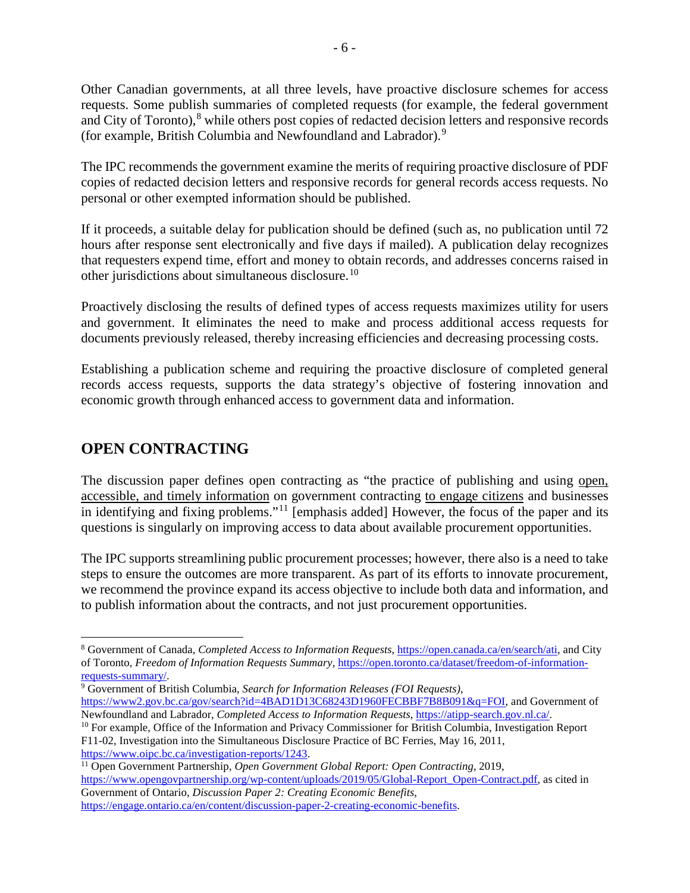Other Canadian governments, at all three levels, have proactive disclosure schemes for access requests. Some publish summaries of completed requests (for example, the federal government and City of Toronto),<sup>[8](#page-7-0)</sup> while others post copies of redacted decision letters and responsive records (for example, British Columbia and Newfoundland and Labrador).<sup>[9](#page-7-1)</sup>

- 6 -

The IPC recommends the government examine the merits of requiring proactive disclosure of PDF copies of redacted decision letters and responsive records for general records access requests. No personal or other exempted information should be published.

If it proceeds, a suitable delay for publication should be defined (such as, no publication until 72 hours after response sent electronically and five days if mailed). A publication delay recognizes that requesters expend time, effort and money to obtain records, and addresses concerns raised in other jurisdictions about simultaneous disclosure.[10](#page-7-2)

Proactively disclosing the results of defined types of access requests maximizes utility for users and government. It eliminates the need to make and process additional access requests for documents previously released, thereby increasing efficiencies and decreasing processing costs.

Establishing a publication scheme and requiring the proactive disclosure of completed general records access requests, supports the data strategy's objective of fostering innovation and economic growth through enhanced access to government data and information.

# **OPEN CONTRACTING**

 $\overline{a}$ 

The discussion paper defines open contracting as "the practice of publishing and using open, accessible, and timely information on government contracting to engage citizens and businesses in identifying and fixing problems."<sup>[11](#page-7-3)</sup> [emphasis added] However, the focus of the paper and its questions is singularly on improving access to data about available procurement opportunities.

The IPC supports streamlining public procurement processes; however, there also is a need to take steps to ensure the outcomes are more transparent. As part of its efforts to innovate procurement, we recommend the province expand its access objective to include both data and information, and to publish information about the contracts, and not just procurement opportunities.

- <span id="page-7-1"></span><sup>9</sup> Government of British Columbia, *Search for Information Releases (FOI Requests)*, [https://www2.gov.bc.ca/gov/search?id=4BAD1D13C68243D1960FECBBF7B8B091&q=FOI,](https://www2.gov.bc.ca/gov/search?id=4BAD1D13C68243D1960FECBBF7B8B091&q=FOI) and Government of Newfoundland and Labrador, *Completed Access to Information Requests*, [https://atipp-search.gov.nl.ca/.](https://atipp-search.gov.nl.ca/)
- <span id="page-7-2"></span><sup>10</sup> For example, Office of the Information and Privacy Commissioner for British Columbia, Investigation Report F11-02, Investigation into the Simultaneous Disclosure Practice of BC Ferries, May 16, 2011, [https://www.oipc.bc.ca/investigation-reports/1243.](https://www.oipc.bc.ca/investigation-reports/1243)
- <span id="page-7-3"></span><sup>11</sup> Open Government Partnership, *Open Government Global Report: Open Contracting*, 2019, [https://www.opengovpartnership.org/wp-content/uploads/2019/05/Global-Report\\_Open-Contract.pdf,](https://www.opengovpartnership.org/wp-content/uploads/2019/05/Global-Report_Open-Contract.pdf) as cited in Government of Ontario, *Discussion Paper 2: Creating Economic Benefits*, [https://engage.ontario.ca/en/content/discussion-paper-2-creating-economic-benefits.](https://engage.ontario.ca/en/content/discussion-paper-2-creating-economic-benefits)

<span id="page-7-0"></span><sup>8</sup> Government of Canada, *Completed Access to Information Requests*[, https://open.canada.ca/en/search/ati,](https://open.canada.ca/en/search/ati) and City of Toronto, *Freedom of Information Requests Summary*, [https://open.toronto.ca/dataset/freedom-of-information](https://open.toronto.ca/dataset/freedom-of-information-requests-summary/)[requests-summary/.](https://open.toronto.ca/dataset/freedom-of-information-requests-summary/)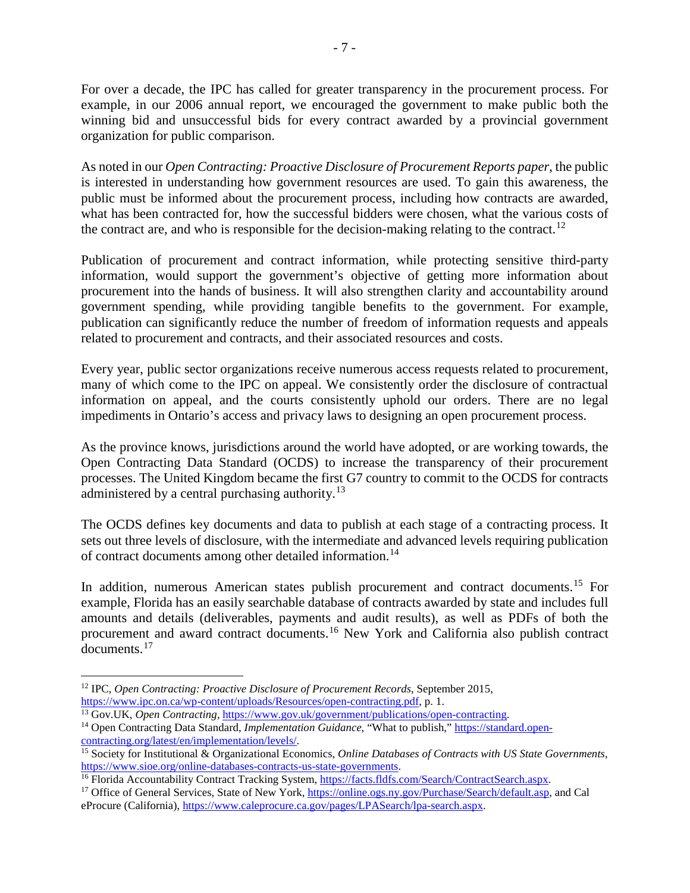For over a decade, the IPC has called for greater transparency in the procurement process. For example, in our 2006 annual report, we encouraged the government to make public both the winning bid and unsuccessful bids for every contract awarded by a provincial government organization for public comparison.

As noted in our *Open Contracting: Proactive Disclosure of Procurement Reports paper*, the public is interested in understanding how government resources are used. To gain this awareness, the public must be informed about the procurement process, including how contracts are awarded, what has been contracted for, how the successful bidders were chosen, what the various costs of the contract are, and who is responsible for the decision-making relating to the contract.<sup>[12](#page-8-0)</sup>

Publication of procurement and contract information, while protecting sensitive third-party information, would support the government's objective of getting more information about procurement into the hands of business. It will also strengthen clarity and accountability around government spending, while providing tangible benefits to the government. For example, publication can significantly reduce the number of freedom of information requests and appeals related to procurement and contracts, and their associated resources and costs.

Every year, public sector organizations receive numerous access requests related to procurement, many of which come to the IPC on appeal. We consistently order the disclosure of contractual information on appeal, and the courts consistently uphold our orders. There are no legal impediments in Ontario's access and privacy laws to designing an open procurement process.

As the province knows, jurisdictions around the world have adopted, or are working towards, the Open Contracting Data Standard (OCDS) to increase the transparency of their procurement processes. The United Kingdom became the first G7 country to commit to the OCDS for contracts administered by a central purchasing authority. $13$ 

The OCDS defines key documents and data to publish at each stage of a contracting process. It sets out three levels of disclosure, with the intermediate and advanced levels requiring publication of contract documents among other detailed information.[14](#page-8-2)

In addition, numerous American states publish procurement and contract documents.<sup>[15](#page-8-3)</sup> For example, Florida has an easily searchable database of contracts awarded by state and includes full amounts and details (deliverables, payments and audit results), as well as PDFs of both the procurement and award contract documents.[16](#page-8-4) New York and California also publish contract documents.[17](#page-8-5)

<span id="page-8-0"></span> $\overline{a}$ <sup>12</sup> IPC, *Open Contracting: Proactive Disclosure of Procurement Records*, September 2015, [https://www.ipc.on.ca/wp-content/uploads/Resources/open-contracting.pdf,](https://www.ipc.on.ca/wp-content/uploads/Resources/open-contracting.pdf) p. 1.<br><sup>13</sup> Gov.UK, *Open Contracting*, https://www.gov.uk/government/publications/open-contracting.

<span id="page-8-2"></span><span id="page-8-1"></span><sup>&</sup>lt;sup>14</sup> Open Contracting Data Standard, *Implementation Guidance*, "What to publish," [https://standard.open](https://standard.open-contracting.org/latest/en/implementation/levels/)[contracting.org/latest/en/implementation/levels/.](https://standard.open-contracting.org/latest/en/implementation/levels/)

<span id="page-8-3"></span><sup>15</sup> Society for Institutional & Organizational Economics, *Online Databases of Contracts with US State Governments*, [https://www.sioe.org/online-databases-contracts-us-state-governments.](https://www.sioe.org/online-databases-contracts-us-state-governments)<br><sup>16</sup> Florida Accountability Contract Tracking System, https://facts.fldfs.com/Search/ContractSearch.aspx.

<span id="page-8-4"></span>

<span id="page-8-5"></span><sup>&</sup>lt;sup>17</sup> Office of General Services, State of New York, [https://online.ogs.ny.gov/Purchase/Search/default.asp,](https://online.ogs.ny.gov/Purchase/Search/default.asp) and Cal eProcure (California), [https://www.caleprocure.ca.gov/pages/LPASearch/lpa-search.aspx.](https://www.caleprocure.ca.gov/pages/LPASearch/lpa-search.aspx)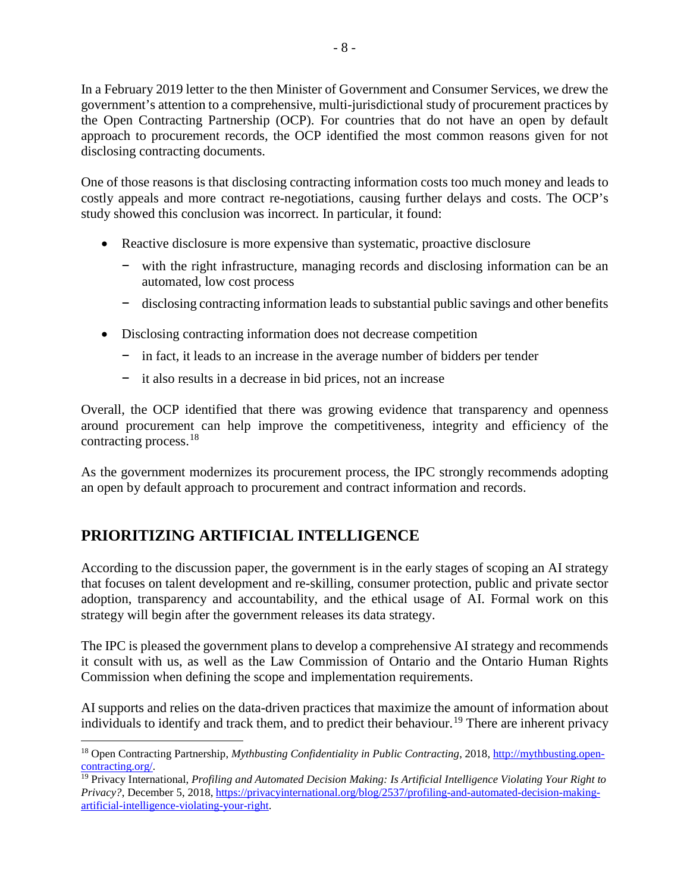In a February 2019 letter to the then Minister of Government and Consumer Services, we drew the government's attention to a comprehensive, multi-jurisdictional study of procurement practices by the Open Contracting Partnership (OCP). For countries that do not have an open by default approach to procurement records, the OCP identified the most common reasons given for not disclosing contracting documents.

One of those reasons is that disclosing contracting information costs too much money and leads to costly appeals and more contract re-negotiations, causing further delays and costs. The OCP's study showed this conclusion was incorrect. In particular, it found:

- Reactive disclosure is more expensive than systematic, proactive disclosure
	- − with the right infrastructure, managing records and disclosing information can be an automated, low cost process
	- − disclosing contracting information leads to substantial public savings and other benefits
- Disclosing contracting information does not decrease competition
	- − in fact, it leads to an increase in the average number of bidders per tender
	- − it also results in a decrease in bid prices, not an increase

Overall, the OCP identified that there was growing evidence that transparency and openness around procurement can help improve the competitiveness, integrity and efficiency of the contracting process.[18](#page-9-0)

As the government modernizes its procurement process, the IPC strongly recommends adopting an open by default approach to procurement and contract information and records.

# **PRIORITIZING ARTIFICIAL INTELLIGENCE**

According to the discussion paper, the government is in the early stages of scoping an AI strategy that focuses on talent development and re-skilling, consumer protection, public and private sector adoption, transparency and accountability, and the ethical usage of AI. Formal work on this strategy will begin after the government releases its data strategy.

The IPC is pleased the government plans to develop a comprehensive AI strategy and recommends it consult with us, as well as the Law Commission of Ontario and the Ontario Human Rights Commission when defining the scope and implementation requirements.

AI supports and relies on the data-driven practices that maximize the amount of information about individuals to identify and track them, and to predict their behaviour.<sup>[19](#page-9-1)</sup> There are inherent privacy

<span id="page-9-0"></span> $\overline{a}$ <sup>18</sup> Open Contracting Partnership, *Mythbusting Confidentiality in Public Contracting*, 2018[, http://mythbusting.open](http://mythbusting.open-contracting.org/)[contracting.org/.](http://mythbusting.open-contracting.org/)

<span id="page-9-1"></span><sup>19</sup> Privacy International, *Profiling and Automated Decision Making: Is Artificial Intelligence Violating Your Right to Privacy?*, December 5, 2018[, https://privacyinternational.org/blog/2537/profiling-and-automated-decision-making](https://privacyinternational.org/blog/2537/profiling-and-automated-decision-making-artificial-intelligence-violating-your-right)[artificial-intelligence-violating-your-right.](https://privacyinternational.org/blog/2537/profiling-and-automated-decision-making-artificial-intelligence-violating-your-right)